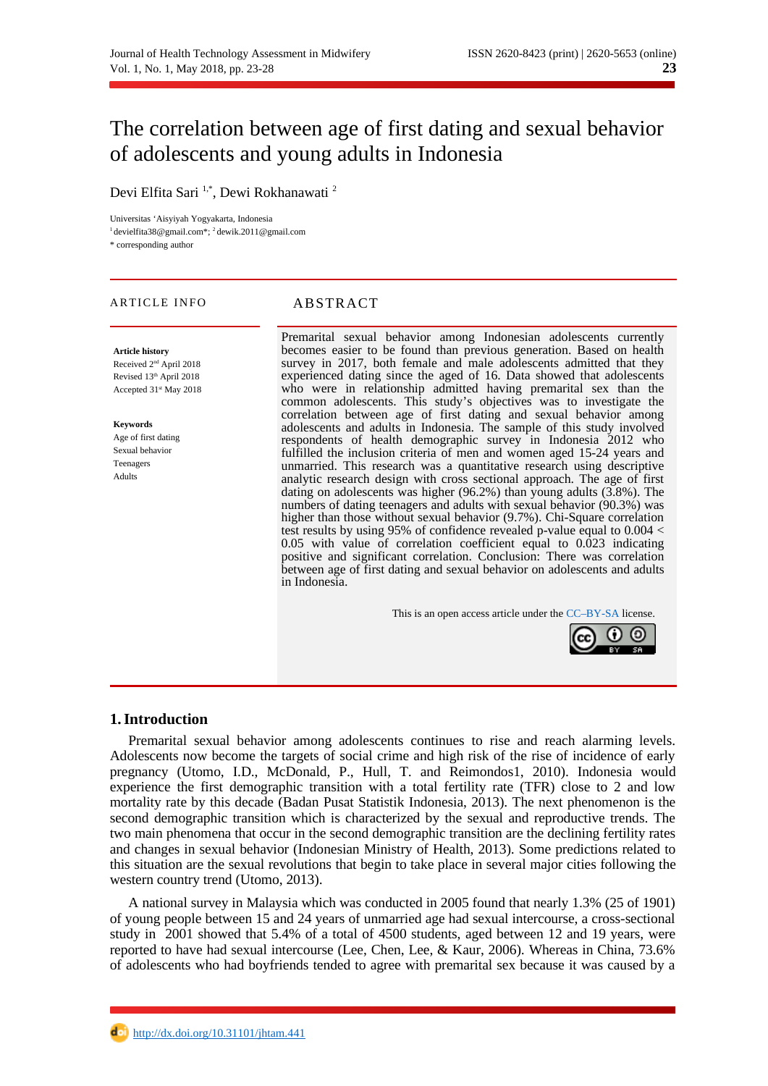# The correlation between age of first dating and sexual behavior of adolescents and young adults in Indonesia

Devi Elfita Sari<sup>1,\*</sup>, Dewi Rokhanawati<sup>2</sup>

Universitas 'Aisyiyah Yogyakarta, Indonesia

<sup>1</sup>devielfita38@gmail.com\*; <sup>2</sup>dewik.2011@gmail.com

\* corresponding author

# ARTICLE INFO ABSTRACT

**Article history** Received 2nd April 2018 Revised 13<sup>th</sup> April 2018 Accepted 31<sup>st</sup> May 2018

**Keywords** Age of first dating Sexual behavior Teenagers Adults

Premarital sexual behavior among Indonesian adolescents currently becomes easier to be found than previous generation. Based on health survey in 2017, both female and male adolescents admitted that they experienced dating since the aged of 16. Data showed that adolescents who were in relationship admitted having premarital sex than the common adolescents. This study's objectives was to investigate the correlation between age of first dating and sexual behavior among adolescents and adults in Indonesia. The sample of this study involved respondents of health demographic survey in Indonesia 2012 who fulfilled the inclusion criteria of men and women aged 15-24 years and unmarried. This research was a quantitative research using descriptive analytic research design with cross sectional approach. The age of first dating on adolescents was higher (96.2%) than young adults (3.8%). The numbers of dating teenagers and adults with sexual behavior (90.3%) was higher than those without sexual behavior (9.7%). Chi-Square correlation test results by using 95% of confidence revealed p-value equal to 0.004 < 0.05 with value of correlation coefficient equal to 0.023 indicating positive and significant correlation. Conclusion: There was correlation between age of first dating and sexual behavior on adolescents and adults in Indonesia.

This is an open access article under the [CC–BY-SA](http://creativecommons.org/licenses/by-sa/4.0/) license.



# **1.Introduction**

Premarital sexual behavior among adolescents continues to rise and reach alarming levels. Adolescents now become the targets of social crime and high risk of the rise of incidence of early pregnancy (Utomo, I.D., McDonald, P., Hull, T. and Reimondos1, 2010). Indonesia would experience the first demographic transition with a total fertility rate (TFR) close to 2 and low mortality rate by this decade (Badan Pusat Statistik Indonesia, 2013). The next phenomenon is the second demographic transition which is characterized by the sexual and reproductive trends. The two main phenomena that occur in the second demographic transition are the declining fertility rates and changes in sexual behavior (Indonesian Ministry of Health, 2013). Some predictions related to this situation are the sexual revolutions that begin to take place in several major cities following the western country trend (Utomo, 2013).

A national survey in Malaysia which was conducted in 2005 found that nearly 1.3% (25 of 1901) of young people between 15 and 24 years of unmarried age had sexual intercourse, a cross-sectional study in 2001 showed that 5.4% of a total of 4500 students, aged between 12 and 19 years, were reported to have had sexual intercourse (Lee, Chen, Lee, & Kaur, 2006). Whereas in China, 73.6% of adolescents who had boyfriends tended to agree with premarital sex because it was caused by a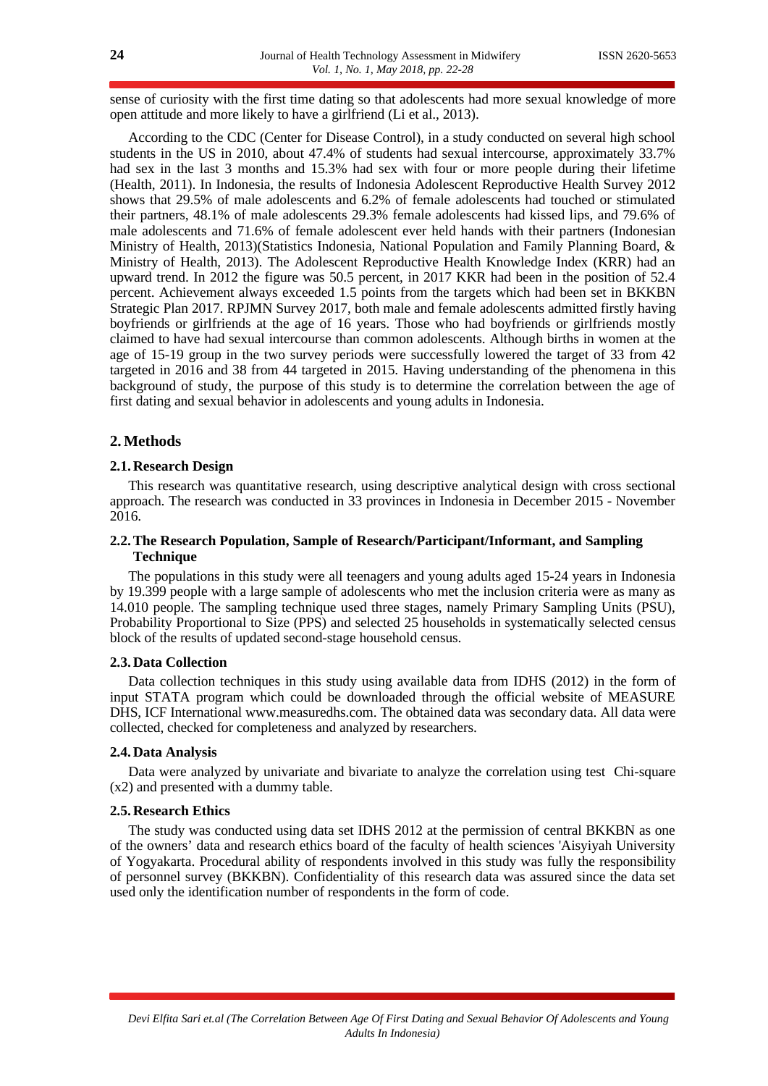sense of curiosity with the first time dating so that adolescents had more sexual knowledge of more open attitude and more likely to have a girlfriend (Li et al., 2013).

According to the CDC (Center for Disease Control), in a study conducted on several high school students in the US in 2010, about 47.4% of students had sexual intercourse, approximately 33.7% had sex in the last 3 months and 15.3% had sex with four or more people during their lifetime (Health, 2011). In Indonesia, the results of Indonesia Adolescent Reproductive Health Survey 2012 shows that 29.5% of male adolescents and 6.2% of female adolescents had touched or stimulated their partners, 48.1% of male adolescents 29.3% female adolescents had kissed lips, and 79.6% of male adolescents and 71.6% of female adolescent ever held hands with their partners (Indonesian Ministry of Health, 2013)(Statistics Indonesia, National Population and Family Planning Board, & Ministry of Health, 2013). The Adolescent Reproductive Health Knowledge Index (KRR) had an upward trend. In 2012 the figure was 50.5 percent, in 2017 KKR had been in the position of 52.4 percent. Achievement always exceeded 1.5 points from the targets which had been set in BKKBN Strategic Plan 2017. RPJMN Survey 2017, both male and female adolescents admitted firstly having boyfriends or girlfriends at the age of 16 years. Those who had boyfriends or girlfriends mostly claimed to have had sexual intercourse than common adolescents. Although births in women at the age of 15-19 group in the two survey periods were successfully lowered the target of 33 from 42 targeted in 2016 and 38 from 44 targeted in 2015. Having understanding of the phenomena in this background of study, the purpose of this study is to determine the correlation between the age of first dating and sexual behavior in adolescents and young adults in Indonesia.

# **2.Methods**

# **2.1.Research Design**

This research was quantitative research, using descriptive analytical design with cross sectional approach. The research was conducted in 33 provinces in Indonesia in December 2015 - November 2016.

# **2.2.The Research Population, Sample of Research/Participant/Informant, and Sampling Technique**

The populations in this study were all teenagers and young adults aged 15-24 years in Indonesia by 19.399 people with a large sample of adolescents who met the inclusion criteria were as many as 14.010 people. The sampling technique used three stages, namely Primary Sampling Units (PSU), Probability Proportional to Size (PPS) and selected 25 households in systematically selected census block of the results of updated second-stage household census.

#### **2.3.Data Collection**

Data collection techniques in this study using available data from IDHS (2012) in the form of input STATA program which could be downloaded through the official website of MEASURE DHS, ICF International www.measuredhs.com. The obtained data was secondary data. All data were collected, checked for completeness and analyzed by researchers.

#### **2.4.Data Analysis**

Data were analyzed by univariate and bivariate to analyze the correlation using test Chi-square (x2) and presented with a dummy table.

### **2.5.Research Ethics**

The study was conducted using data set IDHS 2012 at the permission of central BKKBN as one of the owners' data and research ethics board of the faculty of health sciences 'Aisyiyah University of Yogyakarta. Procedural ability of respondents involved in this study was fully the responsibility of personnel survey (BKKBN). Confidentiality of this research data was assured since the data set used only the identification number of respondents in the form of code.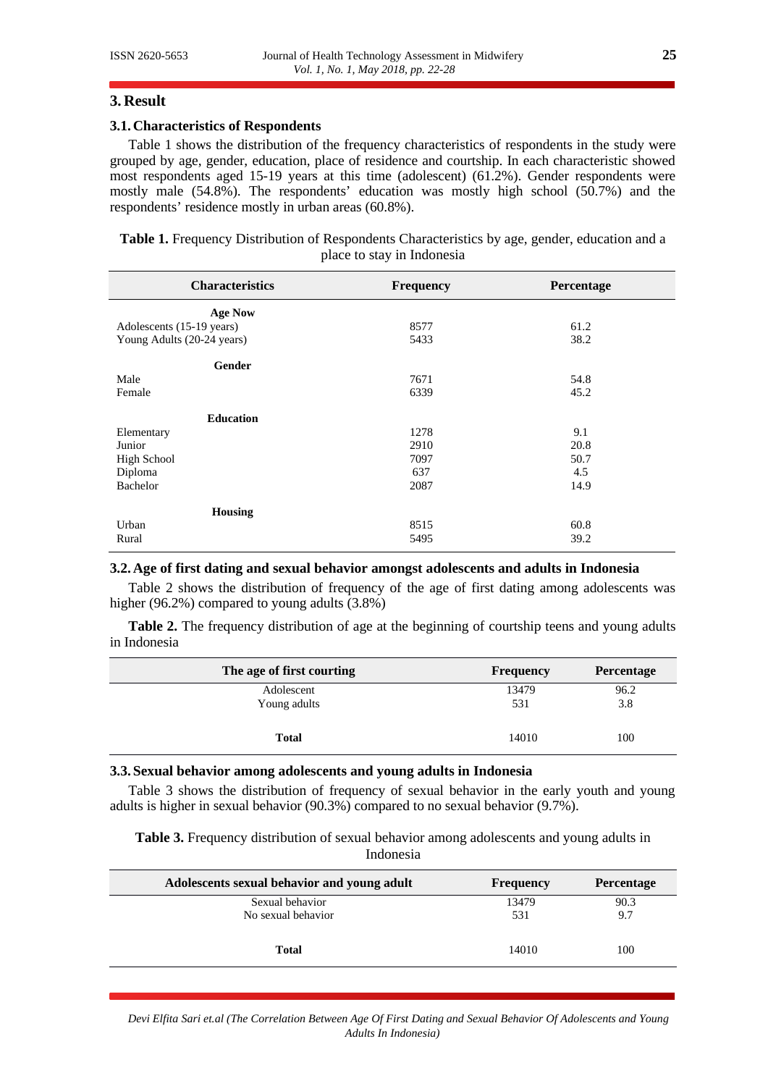#### **3. Result**

#### **3.1.Characteristics of Respondents**

Table 1 shows the distribution of the frequency characteristics of respondents in the study were grouped by age, gender, education, place of residence and courtship. In each characteristic showed most respondents aged 15-19 years at this time (adolescent) (61.2%). Gender respondents were mostly male (54.8%). The respondents' education was mostly high school (50.7%) and the respondents' residence mostly in urban areas (60.8%).

**Table 1.** Frequency Distribution of Respondents Characteristics by age, gender, education and a place to stay in Indonesia

| <b>Characteristics</b>     | Frequency | Percentage |
|----------------------------|-----------|------------|
| <b>Age Now</b>             |           |            |
| Adolescents (15-19 years)  | 8577      | 61.2       |
| Young Adults (20-24 years) | 5433      | 38.2       |
| Gender                     |           |            |
| Male                       | 7671      | 54.8       |
| Female                     | 6339      | 45.2       |
| <b>Education</b>           |           |            |
| Elementary                 | 1278      | 9.1        |
| Junior                     | 2910      | 20.8       |
| <b>High School</b>         | 7097      | 50.7       |
| Diploma                    | 637       | 4.5        |
| <b>Bachelor</b>            | 2087      | 14.9       |
| <b>Housing</b>             |           |            |
| Urban                      | 8515      | 60.8       |
| Rural                      | 5495      | 39.2       |

### **3.2.Age of first dating and sexual behavior amongst adolescents and adults in Indonesia**

Table 2 shows the distribution of frequency of the age of first dating among adolescents was higher (96.2%) compared to young adults (3.8%)

Table 2. The frequency distribution of age at the beginning of courtship teens and young adults in Indonesia

| The age of first courting | Frequency | Percentage |
|---------------------------|-----------|------------|
| Adolescent                | 13479     | 96.2       |
| Young adults              | 531       | 3.8        |
| Total                     | 14010     | 100        |

### **3.3. Sexual behavior among adolescents and young adults in Indonesia**

Table 3 shows the distribution of frequency of sexual behavior in the early youth and young adults is higher in sexual behavior (90.3%) compared to no sexual behavior (9.7%).

**Table 3.** Frequency distribution of sexual behavior among adolescents and young adults in Indonesia

| Adolescents sexual behavior and young adult | Frequency | Percentage |
|---------------------------------------------|-----------|------------|
| Sexual behavior                             | 13479     | 90.3       |
| No sexual behavior                          | 531       | 9.7        |
| Total                                       | 14010     | 100        |

*Devi Elfita Sari et.al (The Correlation Between Age Of First Dating and Sexual Behavior Of Adolescents and Young Adults In Indonesia)*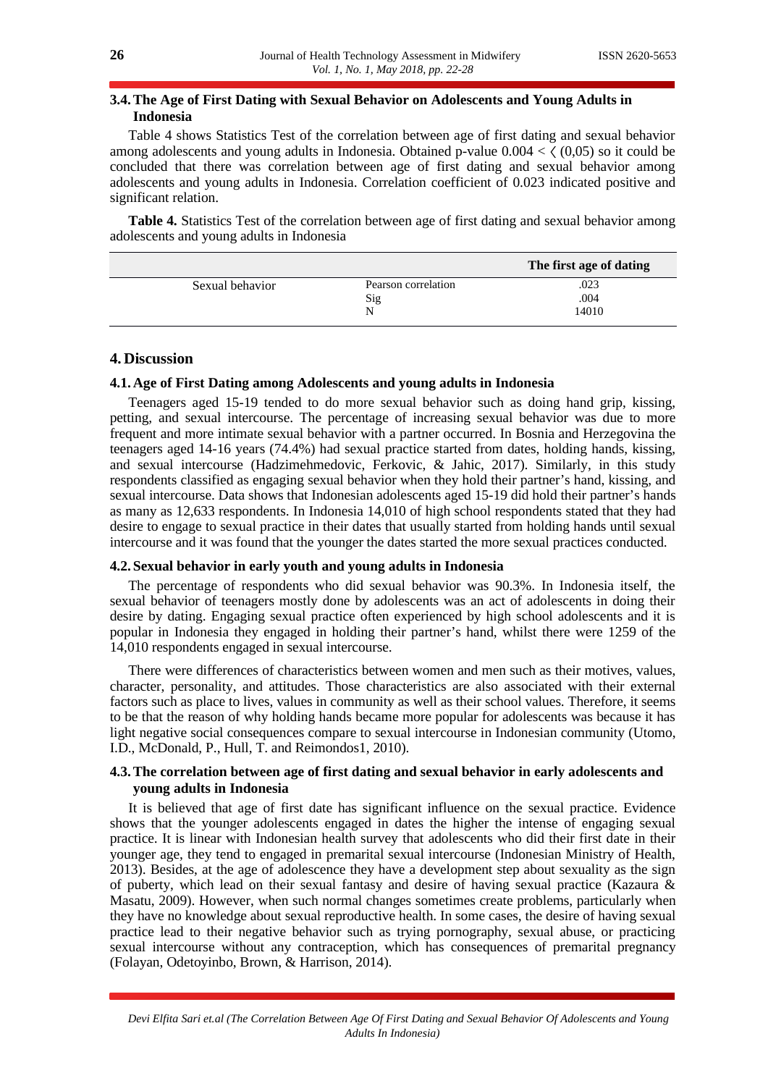# **3.4.The Age of First Dating with Sexual Behavior on Adolescents and Young Adults in Indonesia**

Table 4 shows Statistics Test of the correlation between age of first dating and sexual behavior among adolescents and young adults in Indonesia. Obtained p-value  $0.004 \le \zeta (0.05)$  so it could be concluded that there was correlation between age of first dating and sexual behavior among adolescents and young adults in Indonesia. Correlation coefficient of 0.023 indicated positive and significant relation.

**Table 4.** Statistics Test of the correlation between age of first dating and sexual behavior among adolescents and young adults in Indonesia

|                 |                     | The first age of dating |
|-----------------|---------------------|-------------------------|
| Sexual behavior | Pearson correlation | .023                    |
|                 | Sig                 | .004                    |
|                 | N                   | 14010                   |

# **4. Discussion**

#### **4.1.Age of First Dating among Adolescents and young adults in Indonesia**

Teenagers aged 15-19 tended to do more sexual behavior such as doing hand grip, kissing, petting, and sexual intercourse. The percentage of increasing sexual behavior was due to more frequent and more intimate sexual behavior with a partner occurred. In Bosnia and Herzegovina the teenagers aged 14-16 years (74.4%) had sexual practice started from dates, holding hands, kissing, and sexual intercourse (Hadzimehmedovic, Ferkovic, & Jahic, 2017). Similarly, in this study respondents classified as engaging sexual behavior when they hold their partner's hand, kissing, and sexual intercourse. Data shows that Indonesian adolescents aged 15-19 did hold their partner's hands as many as 12,633 respondents. In Indonesia 14,010 of high school respondents stated that they had desire to engage to sexual practice in their dates that usually started from holding hands until sexual intercourse and it was found that the younger the dates started the more sexual practices conducted.

#### **4.2. Sexual behavior in early youth and young adults in Indonesia**

The percentage of respondents who did sexual behavior was 90.3%. In Indonesia itself, the sexual behavior of teenagers mostly done by adolescents was an act of adolescents in doing their desire by dating. Engaging sexual practice often experienced by high school adolescents and it is popular in Indonesia they engaged in holding their partner's hand, whilst there were 1259 of the 14,010 respondents engaged in sexual intercourse.

There were differences of characteristics between women and men such as their motives, values, character, personality, and attitudes. Those characteristics are also associated with their external factors such as place to lives, values in community as well as their school values. Therefore, it seems to be that the reason of why holding hands became more popular for adolescents was because it has light negative social consequences compare to sexual intercourse in Indonesian community (Utomo, I.D., McDonald, P., Hull, T. and Reimondos1, 2010).

# **4.3.The correlation between age of first dating and sexual behavior in early adolescents and young adults in Indonesia**

It is believed that age of first date has significant influence on the sexual practice. Evidence shows that the younger adolescents engaged in dates the higher the intense of engaging sexual practice. It is linear with Indonesian health survey that adolescents who did their first date in their younger age, they tend to engaged in premarital sexual intercourse (Indonesian Ministry of Health, 2013). Besides, at the age of adolescence they have a development step about sexuality as the sign of puberty, which lead on their sexual fantasy and desire of having sexual practice (Kazaura & Masatu, 2009). However, when such normal changes sometimes create problems, particularly when they have no knowledge about sexual reproductive health. In some cases, the desire of having sexual practice lead to their negative behavior such as trying pornography, sexual abuse, or practicing sexual intercourse without any contraception, which has consequences of premarital pregnancy (Folayan, Odetoyinbo, Brown, & Harrison, 2014).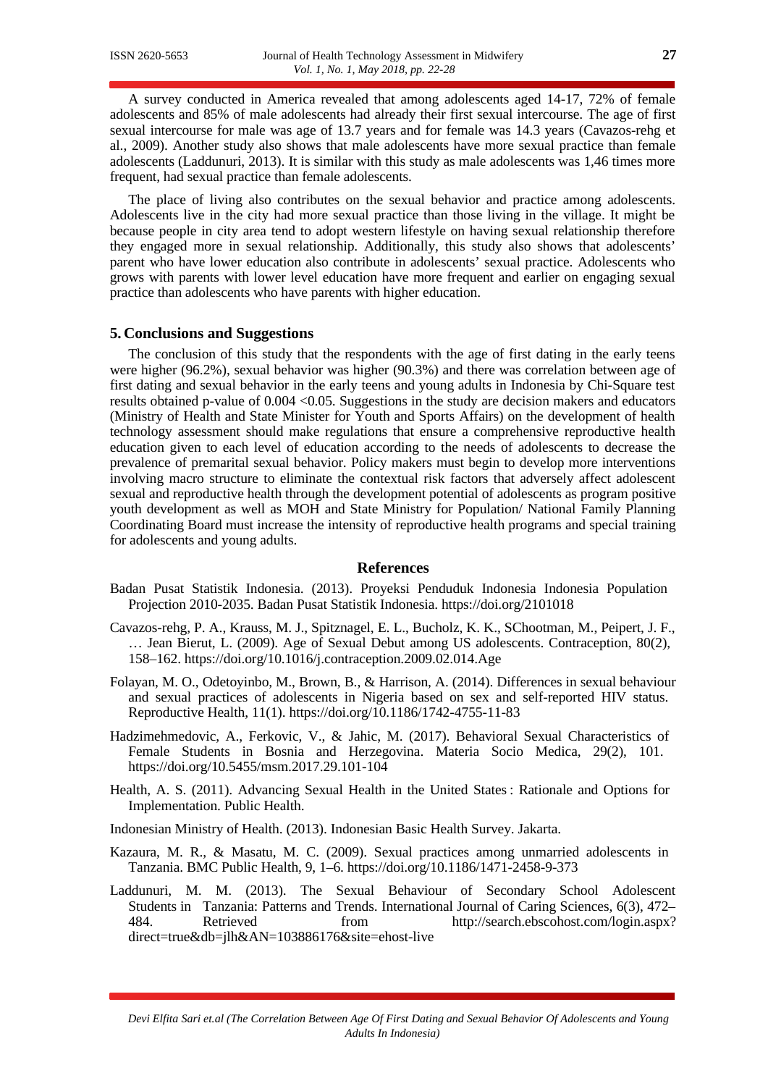A survey conducted in America revealed that among adolescents aged 14-17, 72% of female adolescents and 85% of male adolescents had already their first sexual intercourse. The age of first sexual intercourse for male was age of 13.7 years and for female was 14.3 years (Cavazos-rehg et al., 2009). Another study also shows that male adolescents have more sexual practice than female adolescents (Laddunuri, 2013). It is similar with this study as male adolescents was 1,46 times more frequent, had sexual practice than female adolescents.

The place of living also contributes on the sexual behavior and practice among adolescents. Adolescents live in the city had more sexual practice than those living in the village. It might be because people in city area tend to adopt western lifestyle on having sexual relationship therefore they engaged more in sexual relationship. Additionally, this study also shows that adolescents' parent who have lower education also contribute in adolescents' sexual practice. Adolescents who grows with parents with lower level education have more frequent and earlier on engaging sexual practice than adolescents who have parents with higher education.

#### **5. Conclusions and Suggestions**

The conclusion of this study that the respondents with the age of first dating in the early teens were higher (96.2%), sexual behavior was higher (90.3%) and there was correlation between age of first dating and sexual behavior in the early teens and young adults in Indonesia by Chi-Square test results obtained p-value of 0.004 <0.05. Suggestions in the study are decision makers and educators (Ministry of Health and State Minister for Youth and Sports Affairs) on the development of health technology assessment should make regulations that ensure a comprehensive reproductive health education given to each level of education according to the needs of adolescents to decrease the prevalence of premarital sexual behavior. Policy makers must begin to develop more interventions involving macro structure to eliminate the contextual risk factors that adversely affect adolescent sexual and reproductive health through the development potential of adolescents as program positive youth development as well as MOH and State Ministry for Population/ National Family Planning Coordinating Board must increase the intensity of reproductive health programs and special training for adolescents and young adults.

#### **References**

- Badan Pusat Statistik Indonesia. (2013). Proyeksi Penduduk Indonesia Indonesia Population Projection 2010-2035. Badan Pusat Statistik Indonesia. https://doi.org/2101018
- Cavazos-rehg, P. A., Krauss, M. J., Spitznagel, E. L., Bucholz, K. K., SChootman, M., Peipert, J. F., … Jean Bierut, L. (2009). Age of Sexual Debut among US adolescents. Contraception, 80(2), 158–162. https://doi.org/10.1016/j.contraception.2009.02.014.Age
- Folayan, M. O., Odetoyinbo, M., Brown, B., & Harrison, A. (2014). Differences in sexual behaviour and sexual practices of adolescents in Nigeria based on sex and self-reported HIV status. Reproductive Health, 11(1). https://doi.org/10.1186/1742-4755-11-83
- Hadzimehmedovic, A., Ferkovic, V., & Jahic, M. (2017). Behavioral Sexual Characteristics of Female Students in Bosnia and Herzegovina. Materia Socio Medica, 29(2), 101. https://doi.org/10.5455/msm.2017.29.101-104
- Health, A. S. (2011). Advancing Sexual Health in the United States : Rationale and Options for Implementation. Public Health.

Indonesian Ministry of Health. (2013). Indonesian Basic Health Survey. Jakarta.

- Kazaura, M. R., & Masatu, M. C. (2009). Sexual practices among unmarried adolescents in Tanzania. BMC Public Health, 9, 1–6. https://doi.org/10.1186/1471-2458-9-373
- Laddunuri, M. M. (2013). The Sexual Behaviour of Secondary School Adolescent Students in Tanzania: Patterns and Trends. International Journal of Caring Sciences, 6(3), 472– 484. Retrieved from http://search.ebscohost.com/login.aspx? direct=true&db=jlh&AN=103886176&site=ehost-live